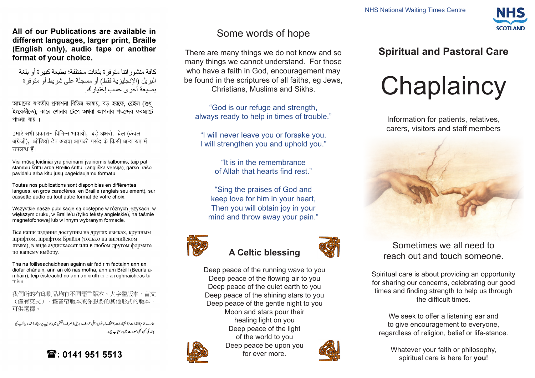All of our Publications are available in different languages, larger print, Braille (English only), audio tape or another format of your choice.

كافة منشور اتنا متوفر ة بلغات مختلفة؛ بطبعة كبير ة أو بلغة البر بل (الانجليز بـة فقط) أو مسجلة على شر بط أو متو فر ة بصبغة أخر ي حسب إختبار ك

আমাদের যাবতীয় প্রকাশনা বিভিন্ন ভাষায়, বড হরফে, ব্রেইল (শুধ ইংরেজীতে), কানে শোনার টেপে অথবা আপনার পছন্দের ফরম্যাটে পাওয়া যায় ।

हमारे सभी प्रकाशन विभिन्न भाषायों, बड़े अक्षरों, ब्रेल (केवल अंग्रेजी), ऑडियो टेप अथवा आपकी पसंद के किसी अन्य रुप में उपलब्ध हैं।

Visi mūsų leidiniai yra prieinami įvairiomis kalbomis, taip pat stambiu šriftu arba Breilio šriftu (angliška versija), garso įrašo pavidalu arba kitu jūsų pageidaujamu formatu.

Toutes nos publications sont disponibles en différentes langues, en gros caractères, en Braille (anglais seulement), sur cassette audio ou tout autre format de votre choix.

Wszystkie nasze publikacje są dostępne w różnych językach, w większym druku, w Braille'u (tylko teksty angielskie), na taśmie magnetofonowei lub w innym wybranym formacie.

Все наши издания доступны на других языках, крупным шрифтом, шрифтом Брайля (только на английском языке), в виде аудиокассет или в любом другом формате по вашему выбору.

Tha na foillseachaidhean againn air fad rim faotainn ann an diofar chànain, ann an clò nas motha, ann am Brèill (Beurla amhàin), teip èisteachd no ann an cruth eile a roghnaicheas tu fhèin.

我們所的有印刷品均有不同語言版本、大字體版本、盲文 (僅有英文)、錄音帶版本或你想要的其他形式的版本, 可供選擇。

ہارے تمام کا غذات (اشتہارات) مخلف زبانوں، عِلَی حروف، بریل ( صرف انگثن میں )، ٹیپ پر ریکار ڈشدہ یا آپ کی یښند کې <sup>کس</sup>ې بھی صورت میں د ستیاب ہیں .

 $\mathbf{\widehat{m}}$ : 0141 951 5513

# Some words of hope

There are many things we do not know and so many things we cannot understand. For those who have a faith in God, encouragement may be found in the scriptures of all faiths, eg Jews, Christians, Muslims and Sikhs.

"God is our refuge and strength, always ready to help in times of trouble."

"I will never leave you or forsake you. I will strengthen you and uphold you."

> "It is in the remembrance of Allah that hearts find rest."

"Sing the praises of God and keep love for him in your heart, Then you will obtain joy in your mind and throw away your pain."



## **A Celtic blessing**

Deep peace of the running wave to you Deep peace of the flowing air to you Deep peace of the quiet earth to you Deep peace of the shining stars to you Deep peace of the gentle night to you Moon and stars pour their healing light on you Deep peace of the light of the world to you



Spiritual care is about providing an opportunity for sharing our concerns, celebrating our good times and finding strength to help us through

Sometimes we all need to reach out and touch someone.

the difficult times.

We seek to offer a listening ear and to give encouragement to everyone, regardless of religion, belief or life-stance.

Whatever your faith or philosophy, spiritual care is here for **you**!

# **Spiritual and Pastoral Care**

# **Chaplaincy**

Information for patients, relatives, carers, visitors and staff members





**SCOTI AND**